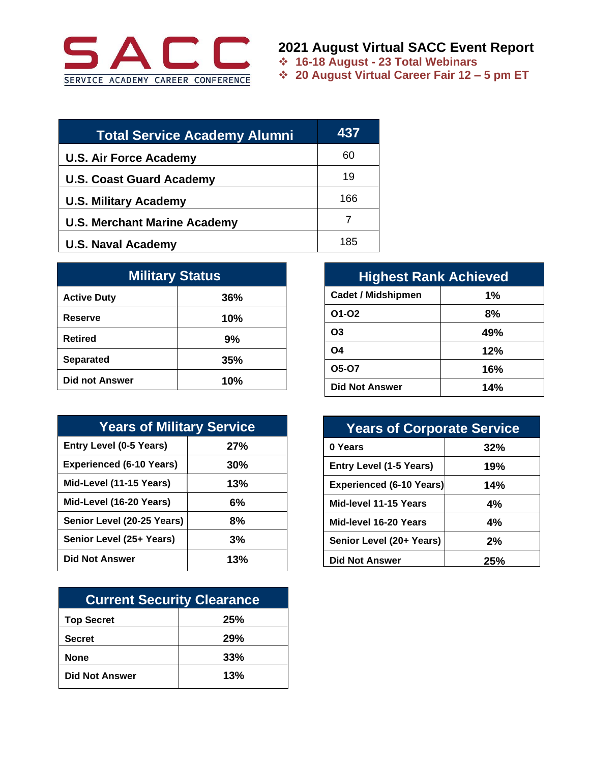

## **2021 August Virtual SACC Event Report**

❖ **16-18 August - 23 Total Webinars**

❖ **20 August Virtual Career Fair 12 – 5 pm ET**

| <b>Total Service Academy Alumni</b> | 437 |
|-------------------------------------|-----|
| <b>U.S. Air Force Academy</b>       | 60  |
| <b>U.S. Coast Guard Academy</b>     | 19  |
| <b>U.S. Military Academy</b>        | 166 |
| <b>U.S. Merchant Marine Academy</b> |     |
| <b>U.S. Naval Academy</b>           | 185 |

| <b>Military Status</b> |     |  |
|------------------------|-----|--|
| <b>Active Duty</b>     | 36% |  |
| Reserve                | 10% |  |
| <b>Retired</b>         | 9%  |  |
| <b>Separated</b>       | 35% |  |
| <b>Did not Answer</b>  | 10% |  |

| <b>Years of Military Service</b> |     |  |
|----------------------------------|-----|--|
| <b>Entry Level (0-5 Years)</b>   | 27% |  |
| <b>Experienced (6-10 Years)</b>  | 30% |  |
| Mid-Level (11-15 Years)          | 13% |  |
| Mid-Level (16-20 Years)          | 6%  |  |
| Senior Level (20-25 Years)       | 8%  |  |
| Senior Level (25+ Years)         | 3%  |  |
| <b>Did Not Answer</b>            | 13% |  |

| <b>Current Security Clearance</b> |     |  |
|-----------------------------------|-----|--|
| <b>Top Secret</b>                 | 25% |  |
| <b>Secret</b>                     | 29% |  |
| <b>None</b>                       | 33% |  |
| <b>Did Not Answer</b>             | 13% |  |

| <b>Highest Rank Achieved</b> |     |  |
|------------------------------|-----|--|
| <b>Cadet / Midshipmen</b>    | 1%  |  |
| 01-02                        | 8%  |  |
| O <sub>3</sub>               | 49% |  |
| O <sub>4</sub>               | 12% |  |
| 05-07                        | 16% |  |
| <b>Did Not Answer</b>        | 14% |  |

| <b>Years of Corporate Service</b> |     |  |
|-----------------------------------|-----|--|
| 0 Years                           | 32% |  |
| <b>Entry Level (1-5 Years)</b>    | 19% |  |
| <b>Experienced (6-10 Years)</b>   | 14% |  |
| Mid-level 11-15 Years             | 4%  |  |
| Mid-level 16-20 Years             | 4%  |  |
| Senior Level (20+ Years)          | 2%  |  |
| <b>Did Not Answer</b>             | 25% |  |